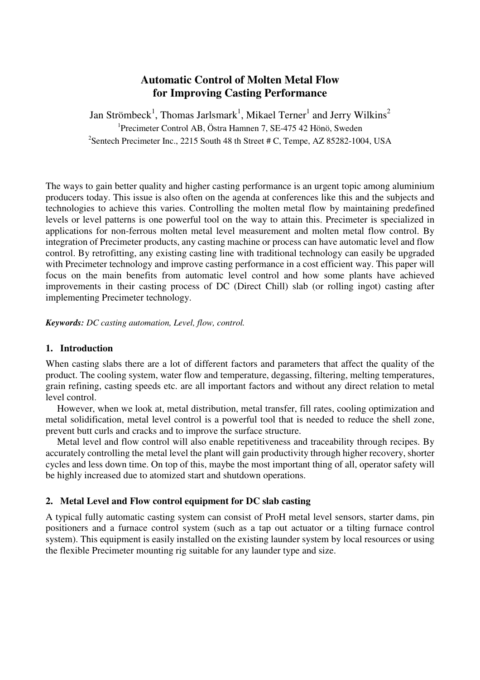# **Automatic Control of Molten Metal Flow for Improving Casting Performance**

Jan Strömbeck<sup>1</sup>, Thomas Jarlsmark<sup>1</sup>, Mikael Terner<sup>1</sup> and Jerry Wilkins<sup>2</sup> 1 Precimeter Control AB, Östra Hamnen 7, SE-475 42 Hönö, Sweden <sup>2</sup>Sentech Precimeter Inc., 2215 South 48 th Street # C, Tempe, AZ 85282-1004, USA

The ways to gain better quality and higher casting performance is an urgent topic among aluminium producers today. This issue is also often on the agenda at conferences like this and the subjects and technologies to achieve this varies. Controlling the molten metal flow by maintaining predefined levels or level patterns is one powerful tool on the way to attain this. Precimeter is specialized in applications for non-ferrous molten metal level measurement and molten metal flow control. By integration of Precimeter products, any casting machine or process can have automatic level and flow control. By retrofitting, any existing casting line with traditional technology can easily be upgraded with Precimeter technology and improve casting performance in a cost efficient way. This paper will focus on the main benefits from automatic level control and how some plants have achieved improvements in their casting process of DC (Direct Chill) slab (or rolling ingot) casting after implementing Precimeter technology.

*Keywords: DC casting automation, Level, flow, control.* 

## **1. Introduction**

When casting slabs there are a lot of different factors and parameters that affect the quality of the product. The cooling system, water flow and temperature, degassing, filtering, melting temperatures, grain refining, casting speeds etc. are all important factors and without any direct relation to metal level control.

However, when we look at, metal distribution, metal transfer, fill rates, cooling optimization and metal solidification, metal level control is a powerful tool that is needed to reduce the shell zone, prevent butt curls and cracks and to improve the surface structure.

Metal level and flow control will also enable repetitiveness and traceability through recipes. By accurately controlling the metal level the plant will gain productivity through higher recovery, shorter cycles and less down time. On top of this, maybe the most important thing of all, operator safety will be highly increased due to atomized start and shutdown operations.

# **2. Metal Level and Flow control equipment for DC slab casting**

A typical fully automatic casting system can consist of ProH metal level sensors, starter dams, pin positioners and a furnace control system (such as a tap out actuator or a tilting furnace control system). This equipment is easily installed on the existing launder system by local resources or using the flexible Precimeter mounting rig suitable for any launder type and size.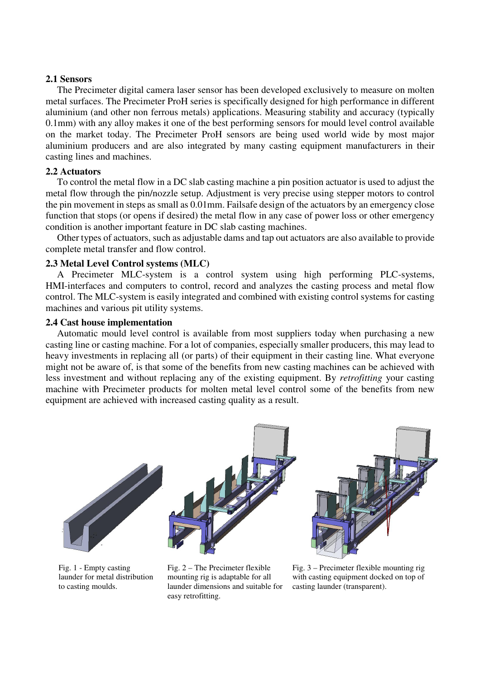#### **2.1 Sensors**

The Precimeter digital camera laser sensor has been developed exclusively to measure on molten metal surfaces. The Precimeter ProH series is specifically designed for high performance in different aluminium (and other non ferrous metals) applications. Measuring stability and accuracy (typically 0.1mm) with any alloy makes it one of the best performing sensors for mould level control available on the market today. The Precimeter ProH sensors are being used world wide by most major aluminium producers and are also integrated by many casting equipment manufacturers in their casting lines and machines.

#### **2.2 Actuators**

To control the metal flow in a DC slab casting machine a pin position actuator is used to adjust the metal flow through the pin/nozzle setup. Adjustment is very precise using stepper motors to control the pin movement in steps as small as 0.01mm. Failsafe design of the actuators by an emergency close function that stops (or opens if desired) the metal flow in any case of power loss or other emergency condition is another important feature in DC slab casting machines.

Other types of actuators, such as adjustable dams and tap out actuators are also available to provide complete metal transfer and flow control.

#### **2.3 Metal Level Control systems (MLC)**

A Precimeter MLC-system is a control system using high performing PLC-systems, HMI-interfaces and computers to control, record and analyzes the casting process and metal flow control. The MLC-system is easily integrated and combined with existing control systems for casting machines and various pit utility systems.

#### **2.4 Cast house implementation**

Automatic mould level control is available from most suppliers today when purchasing a new casting line or casting machine. For a lot of companies, especially smaller producers, this may lead to heavy investments in replacing all (or parts) of their equipment in their casting line. What everyone might not be aware of, is that some of the benefits from new casting machines can be achieved with less investment and without replacing any of the existing equipment. By *retrofitting* your casting machine with Precimeter products for molten metal level control some of the benefits from new equipment are achieved with increased casting quality as a result.



Fig. 1 - Empty casting launder for metal distribution to casting moulds.

Fig. 2 – The Precimeter flexible mounting rig is adaptable for all launder dimensions and suitable for easy retrofitting.

Fig. 3 – Precimeter flexible mounting rig with casting equipment docked on top of casting launder (transparent).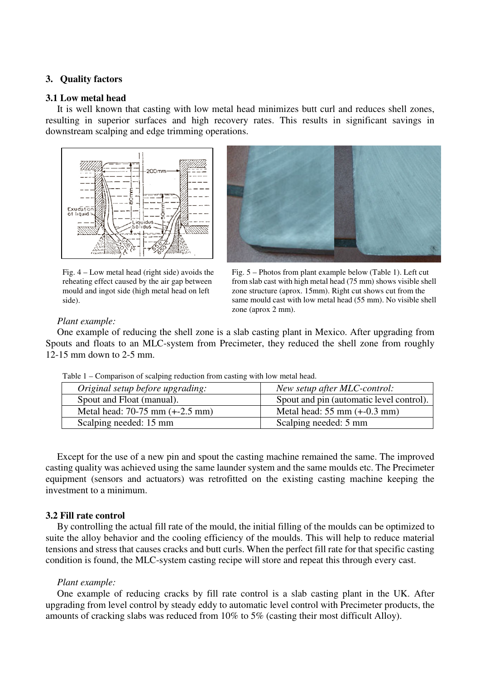## **3. Quality factors**

#### **3.1 Low metal head**

It is well known that casting with low metal head minimizes butt curl and reduces shell zones, resulting in superior surfaces and high recovery rates. This results in significant savings in downstream scalping and edge trimming operations.



Fig. 4 – Low metal head (right side) avoids the reheating effect caused by the air gap between mould and ingot side (high metal head on left side).



Fig. 5 – Photos from plant example below (Table 1). Left cut from slab cast with high metal head (75 mm) shows visible shell zone structure (aprox. 15mm). Right cut shows cut from the same mould cast with low metal head (55 mm). No visible shell zone (aprox 2 mm).

#### *Plant example:*

One example of reducing the shell zone is a slab casting plant in Mexico. After upgrading from Spouts and floats to an MLC-system from Precimeter, they reduced the shell zone from roughly 12-15 mm down to 2-5 mm.

| Tuble 1 Comparison of searping requestion from easing with fow metal field. |                                                |
|-----------------------------------------------------------------------------|------------------------------------------------|
| Original setup before upgrading:                                            | New setup after MLC-control:                   |
| Spout and Float (manual).                                                   | Spout and pin (automatic level control).       |
| Metal head: $70-75$ mm $(+2.5$ mm)                                          | Metal head: $55 \text{ mm } (+0.3 \text{ mm})$ |
| Scalping needed: 15 mm                                                      | Scalping needed: 5 mm                          |

Table 1 – Comparison of scalping reduction from casting with low metal head.

Except for the use of a new pin and spout the casting machine remained the same. The improved casting quality was achieved using the same launder system and the same moulds etc. The Precimeter equipment (sensors and actuators) was retrofitted on the existing casting machine keeping the investment to a minimum.

## **3.2 Fill rate control**

By controlling the actual fill rate of the mould, the initial filling of the moulds can be optimized to suite the alloy behavior and the cooling efficiency of the moulds. This will help to reduce material tensions and stress that causes cracks and butt curls. When the perfect fill rate for that specific casting condition is found, the MLC-system casting recipe will store and repeat this through every cast.

## *Plant example:*

One example of reducing cracks by fill rate control is a slab casting plant in the UK. After upgrading from level control by steady eddy to automatic level control with Precimeter products, the amounts of cracking slabs was reduced from 10% to 5% (casting their most difficult Alloy).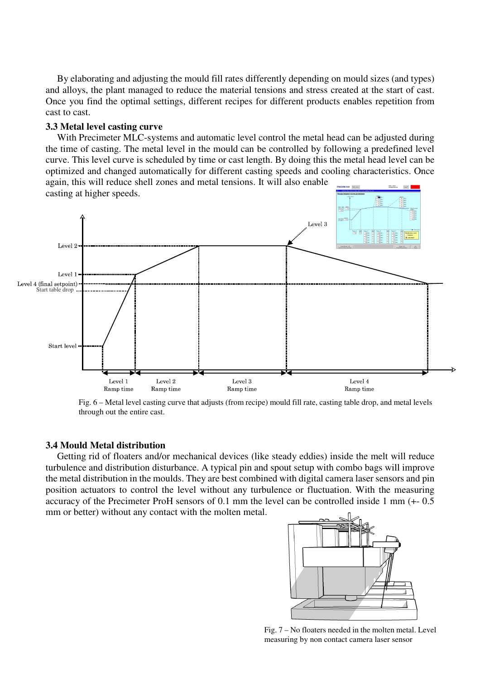By elaborating and adjusting the mould fill rates differently depending on mould sizes (and types) and alloys, the plant managed to reduce the material tensions and stress created at the start of cast. Once you find the optimal settings, different recipes for different products enables repetition from cast to cast.

#### **3.3 Metal level casting curve**

With Precimeter MLC-systems and automatic level control the metal head can be adjusted during the time of casting. The metal level in the mould can be controlled by following a predefined level curve. This level curve is scheduled by time or cast length. By doing this the metal head level can be optimized and changed automatically for different casting speeds and cooling characteristics. Once again, this will reduce shell zones and metal tensions. It will also enable



Fig. 6 – Metal level casting curve that adjusts (from recipe) mould fill rate, casting table drop, and metal levels through out the entire cast.

#### **3.4 Mould Metal distribution**

Getting rid of floaters and/or mechanical devices (like steady eddies) inside the melt will reduce turbulence and distribution disturbance. A typical pin and spout setup with combo bags will improve the metal distribution in the moulds. They are best combined with digital camera laser sensors and pin position actuators to control the level without any turbulence or fluctuation. With the measuring accuracy of the Precimeter ProH sensors of 0.1 mm the level can be controlled inside 1 mm (+- 0.5 mm or better) without any contact with the molten metal.



Fig. 7 – No floaters needed in the molten metal. Level measuring by non contact camera laser sensor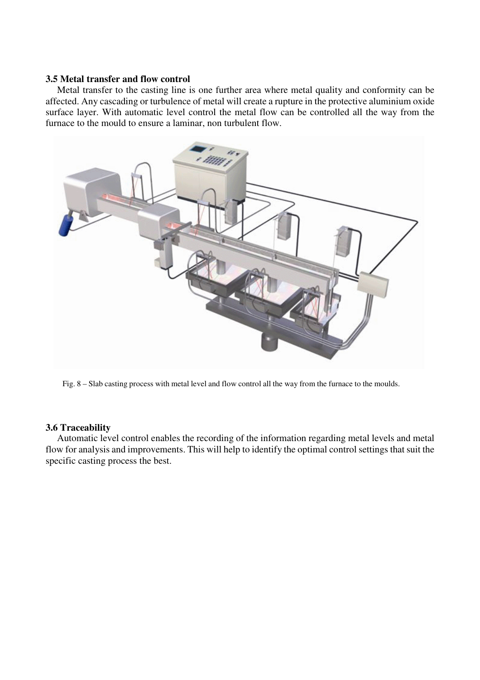#### **3.5 Metal transfer and flow control**

Metal transfer to the casting line is one further area where metal quality and conformity can be affected. Any cascading or turbulence of metal will create a rupture in the protective aluminium oxide surface layer. With automatic level control the metal flow can be controlled all the way from the furnace to the mould to ensure a laminar, non turbulent flow.



Fig. 8 – Slab casting process with metal level and flow control all the way from the furnace to the moulds.

## **3.6 Traceability**

Automatic level control enables the recording of the information regarding metal levels and metal flow for analysis and improvements. This will help to identify the optimal control settings that suit the specific casting process the best.